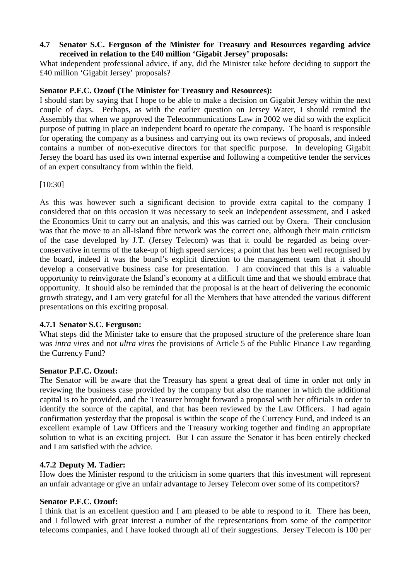# **4.7 Senator S.C. Ferguson of the Minister for Treasury and Resources regarding advice received in relation to the £40 million 'Gigabit Jersey' proposals:**

What independent professional advice, if any, did the Minister take before deciding to support the £40 million 'Gigabit Jersey' proposals?

# **Senator P.F.C. Ozouf (The Minister for Treasury and Resources):**

I should start by saying that I hope to be able to make a decision on Gigabit Jersey within the next couple of days. Perhaps, as with the earlier question on Jersey Water, I should remind the Assembly that when we approved the Telecommunications Law in 2002 we did so with the explicit purpose of putting in place an independent board to operate the company. The board is responsible for operating the company as a business and carrying out its own reviews of proposals, and indeed contains a number of non-executive directors for that specific purpose. In developing Gigabit Jersey the board has used its own internal expertise and following a competitive tender the services of an expert consultancy from within the field.

[10:30]

As this was however such a significant decision to provide extra capital to the company I considered that on this occasion it was necessary to seek an independent assessment, and I asked the Economics Unit to carry out an analysis, and this was carried out by Oxera. Their conclusion was that the move to an all-Island fibre network was the correct one, although their main criticism of the case developed by J.T. (Jersey Telecom) was that it could be regarded as being overconservative in terms of the take-up of high speed services; a point that has been well recognised by the board, indeed it was the board's explicit direction to the management team that it should develop a conservative business case for presentation. I am convinced that this is a valuable opportunity to reinvigorate the Island's economy at a difficult time and that we should embrace that opportunity. It should also be reminded that the proposal is at the heart of delivering the economic growth strategy, and I am very grateful for all the Members that have attended the various different presentations on this exciting proposal.

### **4.7.1 Senator S.C. Ferguson:**

What steps did the Minister take to ensure that the proposed structure of the preference share loan was *intra vires* and not *ultra vires* the provisions of Article 5 of the Public Finance Law regarding the Currency Fund?

### **Senator P.F.C. Ozouf:**

The Senator will be aware that the Treasury has spent a great deal of time in order not only in reviewing the business case provided by the company but also the manner in which the additional capital is to be provided, and the Treasurer brought forward a proposal with her officials in order to identify the source of the capital, and that has been reviewed by the Law Officers. I had again confirmation yesterday that the proposal is within the scope of the Currency Fund, and indeed is an excellent example of Law Officers and the Treasury working together and finding an appropriate solution to what is an exciting project. But I can assure the Senator it has been entirely checked and I am satisfied with the advice.

### **4.7.2 Deputy M. Tadier:**

How does the Minister respond to the criticism in some quarters that this investment will represent an unfair advantage or give an unfair advantage to Jersey Telecom over some of its competitors?

### **Senator P.F.C. Ozouf:**

I think that is an excellent question and I am pleased to be able to respond to it. There has been, and I followed with great interest a number of the representations from some of the competitor telecoms companies, and I have looked through all of their suggestions. Jersey Telecom is 100 per